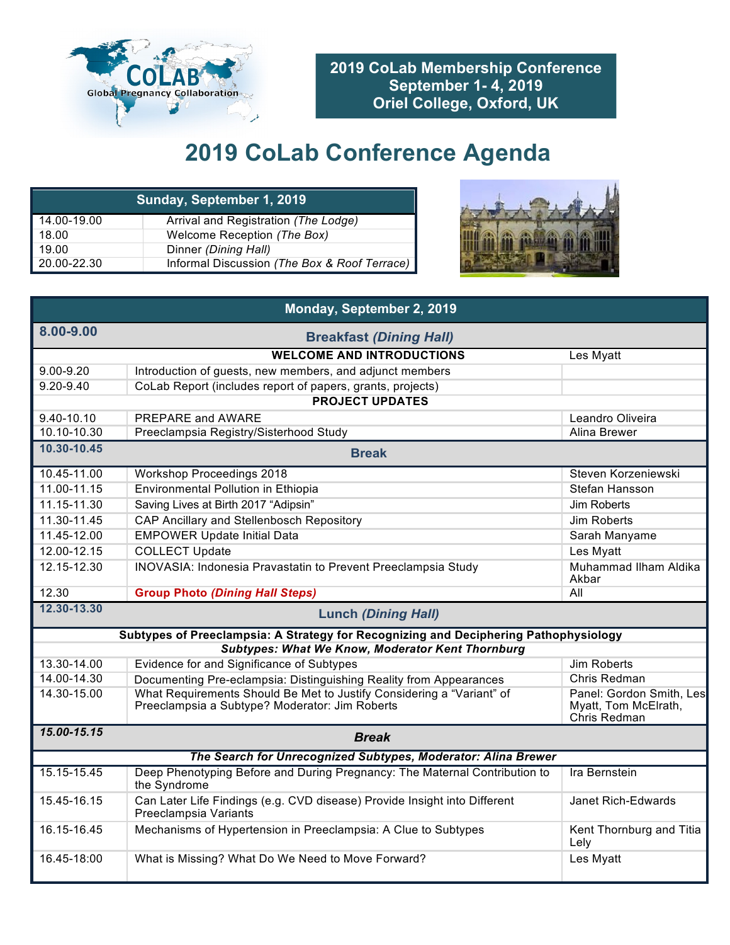

**2019 CoLab Membership Conference September 1- 4, 2019 Oriel College, Oxford, UK**

## **2019 CoLab Conference Agenda**

| Sunday, September 1, 2019 |                                              |  |  |
|---------------------------|----------------------------------------------|--|--|
| 14.00-19.00               | Arrival and Registration (The Lodge)         |  |  |
| 18.00                     | Welcome Reception (The Box)                  |  |  |
| 19.00                     | Dinner (Dining Hall)                         |  |  |
| 20.00-22.30               | Informal Discussion (The Box & Roof Terrace) |  |  |



| Monday, September 2, 2019                 |                                                                                                                         |                                                                  |  |  |
|-------------------------------------------|-------------------------------------------------------------------------------------------------------------------------|------------------------------------------------------------------|--|--|
| 8.00-9.00                                 | <b>Breakfast (Dining Hall)</b>                                                                                          |                                                                  |  |  |
|                                           | <b>WELCOME AND INTRODUCTIONS</b>                                                                                        | Les Myatt                                                        |  |  |
| 9.00-9.20                                 | Introduction of guests, new members, and adjunct members                                                                |                                                                  |  |  |
| $9.20 - 9.40$                             | CoLab Report (includes report of papers, grants, projects)                                                              |                                                                  |  |  |
|                                           | <b>PROJECT UPDATES</b>                                                                                                  |                                                                  |  |  |
| 9.40-10.10                                | PREPARE and AWARE                                                                                                       | Leandro Oliveira                                                 |  |  |
| 10.10-10.30                               | Preeclampsia Registry/Sisterhood Study                                                                                  | Alina Brewer                                                     |  |  |
| 10.30-10.45<br><b>Break</b>               |                                                                                                                         |                                                                  |  |  |
| 10.45-11.00                               | <b>Workshop Proceedings 2018</b>                                                                                        | Steven Korzeniewski                                              |  |  |
| 11.00-11.15                               | Environmental Pollution in Ethiopia                                                                                     | Stefan Hansson                                                   |  |  |
| 11.15-11.30                               | Saving Lives at Birth 2017 "Adipsin"                                                                                    | <b>Jim Roberts</b>                                               |  |  |
| 11.30-11.45                               | <b>CAP Ancillary and Stellenbosch Repository</b>                                                                        | <b>Jim Roberts</b>                                               |  |  |
| 11.45-12.00                               | <b>EMPOWER Update Initial Data</b>                                                                                      | Sarah Manyame                                                    |  |  |
| 12.00-12.15                               | <b>COLLECT Update</b>                                                                                                   | Les Myatt                                                        |  |  |
| 12.15-12.30                               | <b>INOVASIA: Indonesia Pravastatin to Prevent Preeclampsia Study</b>                                                    | Muhammad Ilham Aldika<br>Akbar                                   |  |  |
| 12.30                                     | <b>Group Photo (Dining Hall Steps)</b>                                                                                  | All                                                              |  |  |
| 12.30-13.30<br><b>Lunch (Dining Hall)</b> |                                                                                                                         |                                                                  |  |  |
|                                           | Subtypes of Preeclampsia: A Strategy for Recognizing and Deciphering Pathophysiology                                    |                                                                  |  |  |
|                                           | <b>Subtypes: What We Know, Moderator Kent Thornburg</b>                                                                 |                                                                  |  |  |
| 13.30-14.00                               | Evidence for and Significance of Subtypes                                                                               | <b>Jim Roberts</b>                                               |  |  |
| 14.00-14.30                               | Documenting Pre-eclampsia: Distinguishing Reality from Appearances                                                      | Chris Redman                                                     |  |  |
| 14.30-15.00                               | What Requirements Should Be Met to Justify Considering a "Variant" of<br>Preeclampsia a Subtype? Moderator: Jim Roberts | Panel: Gordon Smith, Les<br>Myatt, Tom McElrath,<br>Chris Redman |  |  |
| 15.00-15.15<br><b>Break</b>               |                                                                                                                         |                                                                  |  |  |
|                                           | The Search for Unrecognized Subtypes, Moderator: Alina Brewer                                                           |                                                                  |  |  |
| 15.15-15.45                               | Deep Phenotyping Before and During Pregnancy: The Maternal Contribution to<br>the Syndrome                              | <b>Ira Bernstein</b>                                             |  |  |
| 15.45-16.15                               | Can Later Life Findings (e.g. CVD disease) Provide Insight into Different<br>Preeclampsia Variants                      | Janet Rich-Edwards                                               |  |  |
| 16.15-16.45                               | Mechanisms of Hypertension in Preeclampsia: A Clue to Subtypes                                                          | Kent Thornburg and Titia<br>Lely                                 |  |  |
| 16.45-18:00                               | What is Missing? What Do We Need to Move Forward?                                                                       | Les Myatt                                                        |  |  |